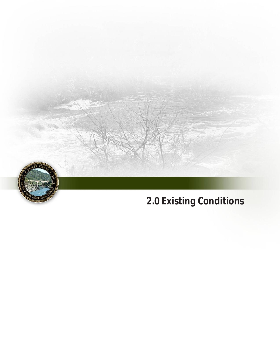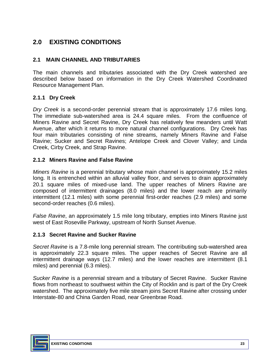# **2.0 EXISTING CONDITIONS**

#### **2.1 MAIN CHANNEL AND TRIBUTARIES**

 The main channels and tributaries associated with the Dry Creek watershed are described below based on information in the Dry Creek Watershed Coordinated Resource Management Plan.

#### **2.1.1 Dry Creek**

 *Dry Creek* is a second-order perennial stream that is approximately 17.6 miles long. The immediate sub-watershed area is 24.4 square miles. From the confluence of Miners Ravine and Secret Ravine, Dry Creek has relatively few meanders until Watt Avenue, after which it returns to more natural channel configurations. Dry Creek has four main tributaries consisting of nine streams, namely Miners Ravine and False Ravine; Sucker and Secret Ravines; Antelope Creek and Clover Valley; and Linda Creek, Cirby Creek, and Strap Ravine.

#### **2.1.2 Miners Ravine and False Ravine**

 *Miners Ravine* is a perennial tributary whose main channel is approximately 15.2 miles long. It is entrenched within an alluvial valley floor, and serves to drain approximately 20.1 square miles of mixed-use land. The upper reaches of Miners Ravine are composed of intermittent drainages (8.0 miles) and the lower reach are primarily intermittent (12.1 miles) with some perennial first-order reaches (2.9 miles) and some second-order reaches (0.6 miles).

 *False Ravine*, an approximately 1.5 mile long tributary, empties into Miners Ravine just west of East Roseville Parkway, upstream of North Sunset Avenue.

#### **2.1.3 Secret Ravine and Sucker Ravine**

 *Secret Ravine* is a 7.8-mile long perennial stream. The contributing sub-watershed area is approximately 22.3 square miles. The upper reaches of Secret Ravine are all intermittent drainage ways (12.7 miles) and the lower reaches are intermittent (8.1 miles) and perennial (6.3 miles).

 *Sucker Ravine* is a perennial stream and a tributary of Secret Ravine. Sucker Ravine flows from northeast to southwest within the City of Rocklin and is part of the Dry Creek watershed. The approximately five mile stream joins Secret Ravine after crossing under Interstate-80 and China Garden Road, near Greenbrae Road.

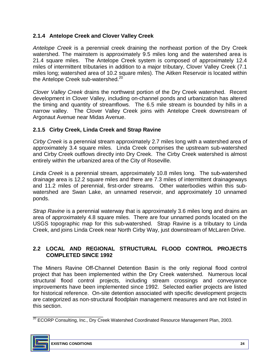### **2.1.4 Antelope Creek and Clover Valley Creek**

 *Antelope Creek* is a perennial creek draining the northeast portion of the Dry Creek watershed. The mainstem is approximately 9.5 miles long and the watershed area is 21.4 square miles. The Antelope Creek system is composed of approximately 12.4 miles of intermittent tributaries in addition to a major tributary, Clover Valley Creek (7.1 miles long; watershed area of 10.2 square miles). The Aitken Reservoir is located within the Antelope Creek sub-watershed.<sup>20</sup>

 *Clover Valley Creek* drains the northwest portion of the Dry Creek watershed. Recent development in Clover Valley, including on-channel ponds and urbanization has altered the timing and quantity of streamflows. The 6.5 mile stream is bounded by hills in a narrow valley. The Clover Valley Creek joins with Antelope Creek downstream of Argonaut Avenue near Midas Avenue.

#### **2.1.5 Cirby Creek, Linda Creek and Strap Ravine**

 *Cirby Creek* is a perennial stream approximately 2.7 miles long with a watershed area of approximately 3.4 square miles. Linda Creek comprises the upstream sub-watershed and Cirby Creek outflows directly into Dry Creek. The Cirby Creek watershed is almost entirely within the urbanized area of the City of Roseville.

 *Linda Creek* is a perennial stream, approximately 10.8 miles long. The sub-watershed and 11.2 miles of perennial, first-order streams. Other waterbodies within this sub- watershed are Swan Lake, an unnamed reservoir, and approximately 10 unnamed drainage area is 12.2 square miles and there are 7.3 miles of intermittent drainageways ponds.

 *Strap Ravine* is a perennial waterway that is approximately 3.6 miles long and drains an area of approximately 4.8 square miles. There are four unnamed ponds located on the USGS topographic map for this sub-watershed. Strap Ravine is a tributary to Linda Creek, and joins Linda Creek near North Cirby Way, just downstream of McLaren Drive.

#### **2.2 LOCAL AND REGIONAL STRUCTURAL FLOOD CONTROL PROJECTS COMPLETED SINCE 1992**

 The Miners Ravine Off-Channel Detention Basin is the only regional flood control project that has been implemented within the Dry Creek watershed. Numerous local structural flood control projects, including stream crossings and conveyance improvements have been implemented since 1992. Selected earlier projects are listed for historical reference. On-site detention associated with specific development projects are categorized as non-structural floodplain management measures and are not listed in this section.

\_\_\_\_\_\_\_\_\_\_\_\_\_\_\_\_\_\_\_\_\_\_\_ <sup>20</sup> ECORP Consulting, Inc., Dry Creek Watershed Coordinated Resource Management Plan, 2003.

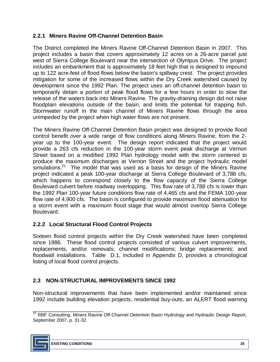### **2.2.1 Miners Ravine Off-Channel Detention Basin**

 The District completed the Miners Ravine Off-Channel Detention Basin in 2007. This project includes a basin that covers approximately 12 acres on a 26-acre parcel just west of Sierra College Boulevard near the intersection of Olympus Drive. The project includes an embankment that is approximately 18 feet high that is designed to impound up to 122 acre-feet of flood flows below the basin's spillway crest. The project provides mitigation for some of the increased flows within the Dry Creek watershed caused by development since the 1992 Plan. The project uses an off-channel detention basin to temporarily detain a portion of peak flood flows for a few hours in order to slow the release of the waters back into Miners Ravine. The gravity-draining design did not raise floodplain elevations outside of the basin, and limits the potential for trapping fish. Stormwater runoff in the main channel of Miners Ravine flows through the area unimpeded by the project when high water flows are not present.

 The Miners Ravine Off-Channel Detention Basin project was designed to provide flood control benefit over a wide range of flow conditions along Miners Ravine, from the 2- year up to the 100-year event. The design report indicated that the project would provide a 263 cfs reduction in the 100-year storm event peak discharge at Vernon Street based on a modified 1992 Plan hydrology model with the storm centered to produce the maximum discharges at Vernon Street and the project hydraulic model simulations.<sup>21</sup> The model that was used as a basis for design of the Miners Ravine project indicated a peak 100-year discharge at Sierra College Boulevard of 3,788 cfs, which happens to correspond closely to the flow capacity of the Sierra College Boulevard culvert before roadway overtopping. This flow rate of 3,788 cfs is lower than the 1992 Plan 100-year future conditions flow rate of 4,465 cfs and the FEMA 100-year flow rate of 4,900 cfs. The basin is configured to provide maximum flood attenuation for a storm event with a maximum flood stage that would almost overtop Sierra College Boulevard.

# **2.2.2 Local Structural Flood Control Projects**

 Sixteen flood control projects within the Dry Creek watershed have been completed since 1986. These flood control projects consisted of various culvert improvements, replacements, and/or removals; channel modifications; bridge replacements; and floodwall installations. Table D.1, included in Appendix D, provides a chronological listing of local flood control projects.

#### **2.3 NON-STRUCTURAL IMPROVEMENTS SINCE 1992**

 Non-structural improvements that have been implemented and/or maintained since 1992 include building elevation projects, residential buy-outs, an ALERT flood warning

\_\_\_\_\_\_\_\_\_\_\_\_\_\_\_\_\_\_\_\_\_\_\_ September 2007, p. 31-32. <sup>21</sup> RBF Consulting, Miners Ravine Off-Channel Detention Basin Hydrology and Hydraulic Design Report,

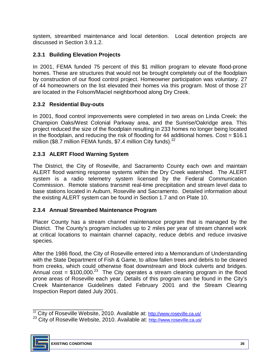system, streambed maintenance and local detention. Local detention projects are discussed in Section 3.9.1.2.

# **2.3.1 Building Elevation Projects**

 In 2001, FEMA funded 75 percent of this \$1 million program to elevate flood-prone of 44 homeowners on the list elevated their homes via this program. Most of those 27 are located in the Folsom/Maciel neighborhood along Dry Creek. homes. These are structures that would not be brought completely out of the floodplain by construction of our flood control project. Homeowner participation was voluntary. 27

# **2.3.2 Residential Buy-outs**

 Champion Oaks/West Colonial Parkway area, and the Sunrise/Oakridge area. This project reduced the size of the floodplain resulting in 233 homes no longer being located in the floodplain, and reducing the risk of flooding for 44 additional homes. Cost =  $$16.1$ million (\$8.7 million FEMA funds, \$7.4 million City funds). $^{22}$ In 2001, flood control improvements were completed in two areas on Linda Creek: the

# **2.3.3 ALERT Flood Warning System**

 The District, the City of Roseville, and Sacramento County each own and maintain ALERT flood warning response systems within the Dry Creek watershed. The ALERT system is a radio telemetry system licensed by the Federal Communication Commission. Remote stations transmit real-time precipitation and stream level data to base stations located in Auburn, Roseville and Sacramento. Detailed information about the existing ALERT system can be found in Section 1.7 and on Plate 10.

# **2.3.4 Annual Streambed Maintenance Program**

 Placer County has a stream channel maintenance program that is managed by the District. The County's program includes up to 2 miles per year of stream channel work at critical locations to maintain channel capacity, reduce debris and reduce invasive species.

 After the 1986 flood, the City of Roseville entered into a Memorandum of Understanding with the State Department of Fish & Game, to allow fallen trees and debris to be cleared from creeks, which could otherwise float downstream and block culverts and bridges. Annual cost =  $$100,000.<sup>23</sup>$  The City operates a stream cleaning program in the flood prone areas of Roseville each year. Details of this program can be found in the City's Creek Maintenance Guidelines dated February 2001 and the Stream Clearing Inspection Report dated July 2001.

<sup>&</sup>lt;sup>23</sup> City of Roseville Website, 2010. Available at: http://www.roseville.ca.us/



\_\_\_\_\_\_\_\_\_\_\_\_\_\_\_\_\_\_\_\_\_\_\_

<sup>&</sup>lt;sup>22</sup> City of Roseville Website, 2010. Available at: http://www.roseville.ca.us/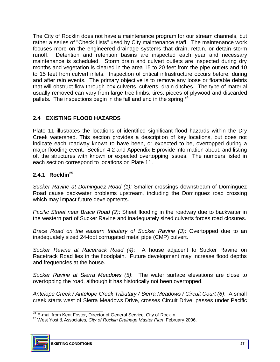The City of Rocklin does not have a maintenance program for our stream channels, but rather a series of "Check Lists" used by City maintenance staff. The maintenance work runoff. maintenance is scheduled. Storm drain and culvert outlets are inspected during dry months and vegetation is cleared in the area 15 to 20 feet from the pipe outlets and 10 and after rain events. The primary objective is to remove any loose or floatable debris usually removed can vary from large tree limbs, tires, pieces of plywood and discarded focuses more on the engineered drainage systems that drain, retain, or detain storm Detention and retention basins are inspected each year and necessary to 15 feet from culvert inlets. Inspection of critical infrastructure occurs before, during that will obstruct flow through box culverts, culverts, drain ditches. The type of material pallets. The inspections begin in the fall and end in the spring. $^{24}$ 

# **2.4 EXISTING FLOOD HAZARDS**

 Plate 11 illustrates the locations of identified significant flood hazards within the Dry Creek watershed. This section provides a description of key locations, but does not indicate each roadway known to have been, or expected to be, overtopped during a major flooding event. Section 4.2 and Appendix E provide information about, and listing of, the structures with known or expected overtopping issues. The numbers listed in each section correspond to locations on Plate 11.

# **2.4.1 Rocklin25**

 *Sucker Ravine at Dominguez Road (1):* Smaller crossings downstream of Dominguez Road cause backwater problems upstream, including the Dominguez road crossing which may impact future developments.

*Pacific Street near Brace Road (2)*: Sheet flooding in the roadway due to backwater in the western part of Sucker Ravine and inadequately sized culverts forces road closures.

 *Brace Road on the eastern tributary of Sucker Ravine (3)*: Overtopped due to an inadequately sized 24-foot corrugated metal pipe (CMP) culvert.

Sucker Ravine at Racetrack Road (4): A house adjacent to Sucker Ravine on Racetrack Road lies in the floodplain. Future development may increase flood depths and frequencies at the house.

 *Sucker Ravine at Sierra Meadows (5)*: The water surface elevations are close to overtopping the road, although it has historically not been overtopped.

 *Antelope Creek / Antelope Creek Tributary / Sierra Meadows / Circuit Court (6)*: A small creek starts west of Sierra Meadows Drive, crosses Circuit Drive, passes under Pacific

<sup>&</sup>lt;sup>24</sup> E-mail from Kent Foster, Director of General Service, City of Rocklin<br><sup>25</sup> West Yost & Associates, *City of Rocklin Drainage Master Plan*, February 2006.



<sup>&</sup>lt;sup>24</sup> E-mail from Kent Foster, Director of General Service, City of Rocklin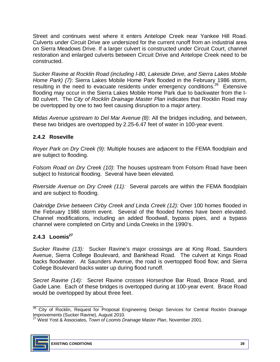Street and continues west where it enters Antelope Creek near Yankee Hill Road. Culverts under Circuit Drive are undersized for the current runoff from an industrial area on Sierra Meadows Drive. If a larger culvert is constructed under Circuit Court, channel restoration and enlarged culverts between Circuit Drive and Antelope Creek need to be constructed.

 *Sucker Ravine at Rocklin Road (including I-80, Lakeside Drive, and Sierra Lakes Mobile Home Park) (7)*: Sierra Lakes Mobile Home Park flooded in the February 1986 storm, resulting in the need to evacuate residents under emergency conditions.<sup>26</sup> Extensive flooding may occur in the Sierra Lakes Mobile Home Park due to backwater from the I- 80 culvert. The *City of Rocklin Drainage Master Plan* indicates that Rocklin Road may be overtopped by one to two feet causing disruption to a major artery.

 *Midas Avenue upstream to Del Mar Avenue (8)*: All the bridges including, and between, these two bridges are overtopped by 2.25-6.47 feet of water in 100-year event.

# **2.4.2 Roseville**

 *Royer Park on Dry Creek (9)*: Multiple houses are adjacent to the FEMA floodplain and are subject to flooding.

 *Folsom Road on Dry Creek (10)*: The houses upstream from Folsom Road have been subject to historical flooding. Several have been elevated.

*Riverside Avenue on Dry Creek (11):* Several parcels are within the FEMA floodplain and are subject to flooding.

Oakridge Drive between Cirby Creek and Linda Creek (12): Over 100 homes flooded in the February 1986 storm event. Several of the flooded homes have been elevated. Channel modifications, including an added floodwall, bypass pipes, and a bypass channel were completed on Cirby and Linda Creeks in the 1990's.

# 2.4.3 Loomis<sup>27</sup>

 *Sucker Ravine (13):* Sucker Ravine's major crossings are at King Road, Saunders Avenue, Sierra College Boulevard, and Bankhead Road. The culvert at Kings Road College Boulevard backs water up during flood runoff. backs floodwater. At Saunders Avenue, the road is overtopped flood flow; and Sierra

 *Secret Ravine (14):* Secret Ravine crosses Horseshoe Bar Road, Brace Road, and Gade Lane. Each of these bridges is overtopped during at 100-year event. Brace Road would be overtopped by about three feet.

Improvements (Sucker Ravine), August 2010.<br><sup>27</sup> West Yost & Associates, *Town of Loomis Drainage Master Plan*, November 2001.



 $\frac{1}{2}$  , and the set of the set of the set of the set of the set of the set of the set of the set of the set of the set of the set of the set of the set of the set of the set of the set of the set of the set of the set Improvements (Sucker Ravine), August 2010. <sup>26</sup> City of Rocklin, Request for Proposal Engineering Deisgn Services for Central Rocklin Drainage